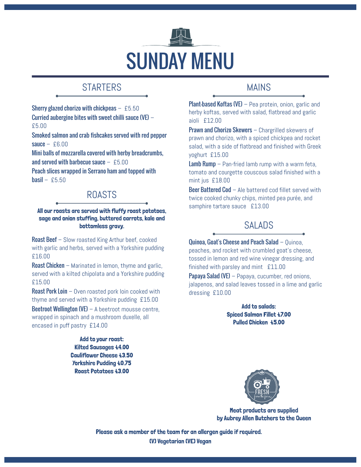

# **STARTERS**

Sherry glazed chorizo with chickpeas  $-$  £5.50 Curried aubergine bites with sweet chilli sauce (VE) – £5.00

Smoked salmon and crab fishcakes served with red pepper sauce  $-$  £6.00

Mini balls of mozzarella covered with herby breadcrumbs, and served with barbecue sauce  $-$  £5.00

Peach slices wrapped in Serrano ham and topped with  $<sub>basil</sub> - £5.50$ </sub>

## ROASTS

### All our roasts are served with fluffy roast potatoes, sage and onion stuffing, buttered carrots, kale and bottomless gravy.

**Roast Beef** – Slow roasted King Arthur beef, cooked with garlic and herbs, served with a Yorkshire pudding £16.00

Roast Chicken – Marinated in lemon, thyme and garlic, served with a kilted chipolata and a Yorkshire pudding £15.00

**Roast Pork Loin** – Oven roasted pork loin cooked with thyme and served with a Yorkshire pudding £15.00

Beetroot Wellington (VE) – A beetroot mousse centre, wrapped in spinach and a mushroom duxelle, all encased in puff pastry £14.00

> Add to your roast: Kilted Sausages £4.00 Cauliflower Cheese £3.50 Yorkshire Pudding £0.75 Roast Potatoes £3.00

## MAINS

Plant-based Koftas (VE) – Pea protein, onion, garlic and herby koftas, served with salad, flatbread and garlic aioli £12.00

Prawn and Chorizo Skewers - Chargrilled skewers of prawn and chorizo, with a spiced chickpea and rocket salad, with a side of flatbread and finished with Greek yoghurt £15.00

Lamb Rump – Pan-fried lamb rump with a warm feta, tomato and courgette couscous salad finished with a mint jus £18.00

Beer Battered Cod – Ale battered cod fillet served with twice cooked chunky chips, minted pea purée, and samphire tartare sauce £13.00

## SALADS

Quinoa, Goat's Cheese and Peach Salad – Quinoa, peaches, and rocket with crumbled goat's cheese, tossed in lemon and red wine vinegar dressing, and finished with parsley and mint £11.00

**Papaya Salad (VE)** – Papaya, cucumber, red onions, jalapenos, and salad leaves tossed in a lime and garlic dressing £10.00

> Add to salads: Spiced Salmon Fillet £7.00 Pulled Chicken £5.00



Meat products are supplied by Aubrey Allen Butchers to the Queen

(V) Vegetarian (VE) Vegan Please ask a member of the team for an allergen guide if required.